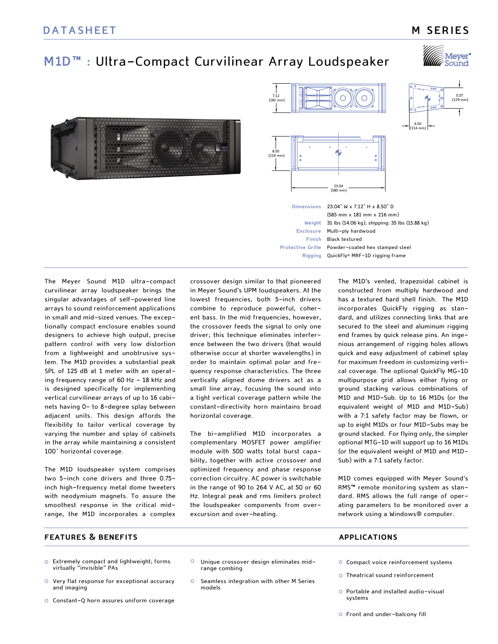## **M SERIES**

# **M1D™ :** Ultra-Compact Curvilinear Array Loudspeaker





23.04 [585 mm]





**Dimensions Weight Enclosure Finish** Black textured **Protective Grille** Powder-coated hex stamped steel **Rigging** QuickFly® MRF-1D rigging frame 23.04" W x 7.12" H x 8.50" D (585 mm x 181 mm x 216 mm) 31 lbs (14.06 kg); shipping: 35 lbs (15.88 kg) Multi-ply hardwood

The Meyer Sound M1D ultra-compact curvilinear array loudspeaker brings the singular advantages of self-powered line arrays to sound reinforcement applications in small and mid-sized venues. The exceptionally compact enclosure enables sound designers to achieve high output, precise pattern control with very low distortion from a lightweight and unobtrusive system. The M1D provides a substantial peak SPL of 125 dB at 1 meter with an operating frequency range of 60 Hz - 18 kHz and is designed specifically for implementing vertical curvilinear arrays of up to 16 cabinets having 0- to 8-degree splay between adjacent units. This design affords the flexibility to tailor vertical coverage by varying the number and splay of cabinets in the array while maintaining a consistent 100° horizontal coverage.

The M1D loudspeaker system comprises two 5-inch cone drivers and three 0.75 inch high-frequency metal dome tweeters with neodymium magnets. To assure the smoothest response in the critical midrange, the M1D incorporates a complex crossover design similar to that pioneered in Meyer Sound's UPM loudspeakers. At the lowest frequencies, both 5-inch drivers combine to reproduce powerful, coherent bass. In the mid frequencies, however, the crossover feeds the signal to only one driver; this technique eliminates interference between the two drivers (that would otherwise occur at shorter wavelengths) in order to maintain optimal polar and frequency response characteristics. The three vertically aligned dome drivers act as a small line array, focusing the sound into a tight vertical coverage pattern while the constant-directivity horn maintains broad horizontal coverage.

The bi-amplified M1D incorporates a complementary MOSFET power amplifier module with 500 watts total burst capability, together with active crossover and optimized frequency and phase response correction circuitry. AC power is switchable in the range of 90 to 264 V AC, at 50 or 60 Hz. Integral peak and rms limiters protect the loudspeaker components from overexcursion and over-heating.

The M1D's vented, trapezoidal cabinet is constructed from multiply hardwood and has a textured hard shell finish. The M1D incorporates QuickFly rigging as standard, and utilizes connecting links that are secured to the steel and aluminum rigging end frames by quick release pins. An ingenious arrangement of rigging holes allows quick and easy adjustment of cabinet splay for maximum freedom in customizing vertical coverage. The optional QuickFly MG-1D multipurpose grid allows either flying or ground stacking various combinations of M1D and M1D-Sub. Up to 16 M1Ds (or the equivalent weight of M1D and M1D-Sub) with a 7:1 safety factor may be flown, or up to eight M1Ds or four M1D-Subs may be ground stacked. For flying only, the simpler optional MTG-1D will support up to 16 M1Ds (or the equivalent weight of M1D and M1D-Sub) with a 7:1 safety factor.

M1D comes equipped with Meyer Sound's RMS™ remote monitoring system as standard. RMS allows the full range of operating parameters to be monitored over a network using a Windows® computer.

### **features & benefits**

- Extremely compact and lightweight; forms virtually "invisible" PAs
- Very flat response for exceptional accuracy and imaging
- Constant-Q horn assures uniform coverage
- $\circ$ Unique crossover design eliminates midrange combing
- $\Omega$ Seamless integration with other M Series models

#### **applications**

- Compact voice reinforcement systems
- Theatrical sound reinforcement
- Portable and installed audio-visual systems
- Front and under-balcony fill